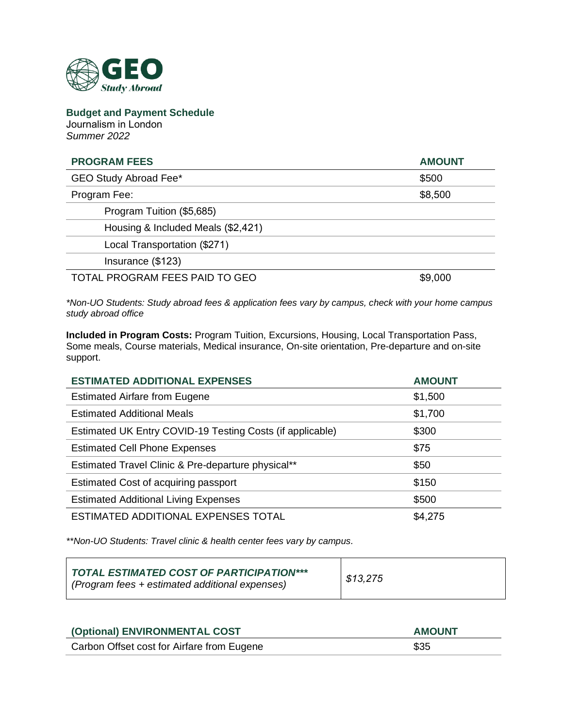

**Budget and Payment Schedule**  Journalism in London *Summer 2022* 

| <b>PROGRAM FEES</b>                | <b>AMOUNT</b> |
|------------------------------------|---------------|
| GEO Study Abroad Fee*              | \$500         |
| Program Fee:                       | \$8,500       |
| Program Tuition (\$5,685)          |               |
| Housing & Included Meals (\$2,421) |               |
| Local Transportation (\$271)       |               |
| Insurance (\$123)                  |               |
| TOTAL PROGRAM FEES PAID TO GEO     | \$9,000       |

*\*Non-UO Students: Study abroad fees & application fees vary by campus, check with your home campus study abroad office*

**Included in Program Costs:** Program Tuition, Excursions, Housing, Local Transportation Pass, Some meals, Course materials, Medical insurance, On-site orientation, Pre-departure and on-site support.

| <b>ESTIMATED ADDITIONAL EXPENSES</b>                      | <b>AMOUNT</b> |
|-----------------------------------------------------------|---------------|
| <b>Estimated Airfare from Eugene</b>                      | \$1,500       |
| <b>Estimated Additional Meals</b>                         | \$1,700       |
| Estimated UK Entry COVID-19 Testing Costs (if applicable) | \$300         |
| <b>Estimated Cell Phone Expenses</b>                      | \$75          |
| Estimated Travel Clinic & Pre-departure physical**        | \$50          |
| Estimated Cost of acquiring passport                      | \$150         |
| <b>Estimated Additional Living Expenses</b>               | \$500         |
| ESTIMATED ADDITIONAL EXPENSES TOTAL                       | \$4,275       |

*\*\*Non-UO Students: Travel clinic & health center fees vary by campus.*

| TOTAL ESTIMATED COST OF PARTICIPATION***<br>I (Program fees + estimated additional expenses) | \$13,275 |
|----------------------------------------------------------------------------------------------|----------|
|----------------------------------------------------------------------------------------------|----------|

| (Optional) ENVIRONMENTAL COST              | <b>AMOUNT</b> |
|--------------------------------------------|---------------|
| Carbon Offset cost for Airfare from Eugene | \$35          |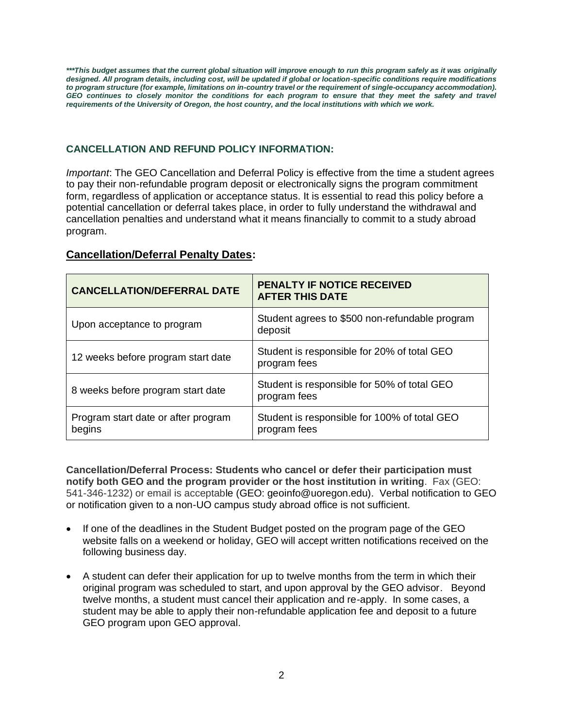*\*\*\*This budget assumes that the current global situation will improve enough to run this program safely as it was originally designed. All program details, including cost, will be updated if global or location-specific conditions require modifications to program structure (for example, limitations on in-country travel or the requirement of single-occupancy accommodation).*  GEO continues to closely monitor the conditions for each program to ensure that they meet the safety and travel *requirements of the University of Oregon, the host country, and the local institutions with which we work.*

## **CANCELLATION AND REFUND POLICY INFORMATION:**

*Important*: The GEO Cancellation and Deferral Policy is effective from the time a student agrees to pay their non-refundable program deposit or electronically signs the program commitment form, regardless of application or acceptance status. It is essential to read this policy before a potential cancellation or deferral takes place, in order to fully understand the withdrawal and cancellation penalties and understand what it means financially to commit to a study abroad program.

## **Cancellation/Deferral Penalty Dates:**

| <b>CANCELLATION/DEFERRAL DATE</b>             | <b>PENALTY IF NOTICE RECEIVED</b><br><b>AFTER THIS DATE</b>  |
|-----------------------------------------------|--------------------------------------------------------------|
| Upon acceptance to program                    | Student agrees to \$500 non-refundable program<br>deposit    |
| 12 weeks before program start date            | Student is responsible for 20% of total GEO<br>program fees  |
| 8 weeks before program start date             | Student is responsible for 50% of total GEO<br>program fees  |
| Program start date or after program<br>begins | Student is responsible for 100% of total GEO<br>program fees |

**Cancellation/Deferral Process: Students who cancel or defer their participation must notify both GEO and the program provider or the host institution in writing**. Fax (GEO: 541-346-1232) or email is acceptable (GEO: geoinfo@uoregon.edu). Verbal notification to GEO or notification given to a non-UO campus study abroad office is not sufficient.

- If one of the deadlines in the Student Budget posted on the program page of the GEO website falls on a weekend or holiday, GEO will accept written notifications received on the following business day.
- A student can defer their application for up to twelve months from the term in which their original program was scheduled to start, and upon approval by the GEO advisor. Beyond twelve months, a student must cancel their application and re-apply. In some cases, a student may be able to apply their non-refundable application fee and deposit to a future GEO program upon GEO approval.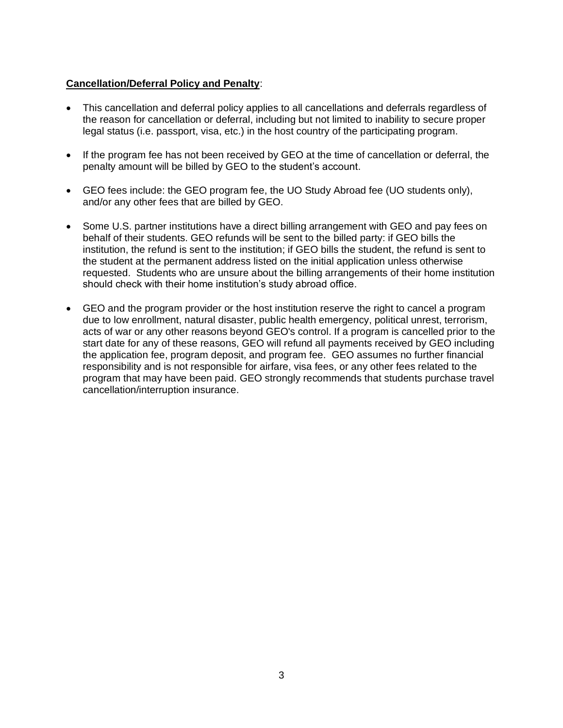#### **Cancellation/Deferral Policy and Penalty**:

- This cancellation and deferral policy applies to all cancellations and deferrals regardless of the reason for cancellation or deferral, including but not limited to inability to secure proper legal status (i.e. passport, visa, etc.) in the host country of the participating program.
- If the program fee has not been received by GEO at the time of cancellation or deferral, the penalty amount will be billed by GEO to the student's account.
- GEO fees include: the GEO program fee, the UO Study Abroad fee (UO students only), and/or any other fees that are billed by GEO.
- Some U.S. partner institutions have a direct billing arrangement with GEO and pay fees on behalf of their students. GEO refunds will be sent to the billed party: if GEO bills the institution, the refund is sent to the institution; if GEO bills the student, the refund is sent to the student at the permanent address listed on the initial application unless otherwise requested. Students who are unsure about the billing arrangements of their home institution should check with their home institution's study abroad office.
- GEO and the program provider or the host institution reserve the right to cancel a program due to low enrollment, natural disaster, public health emergency, political unrest, terrorism, acts of war or any other reasons beyond GEO's control. If a program is cancelled prior to the start date for any of these reasons, GEO will refund all payments received by GEO including the application fee, program deposit, and program fee. GEO assumes no further financial responsibility and is not responsible for airfare, visa fees, or any other fees related to the program that may have been paid. GEO strongly recommends that students purchase travel cancellation/interruption insurance.